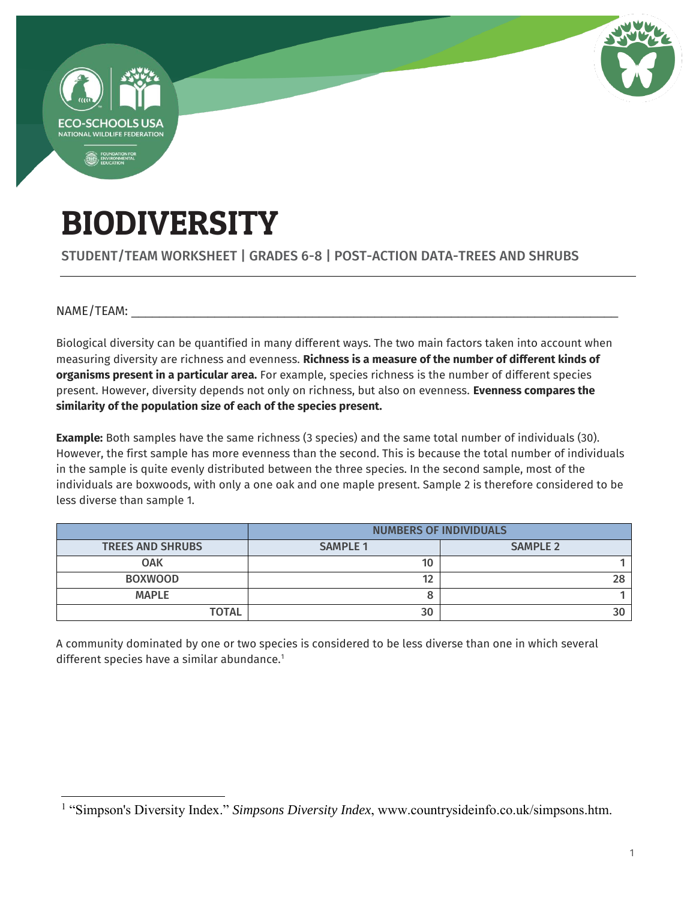

# BIODIVERSITY

STUDENT/TEAM WORKSHEET | GRADES 6-8 | POST-ACTION DATA-TREES AND SHRUBS

NAME/TEAM:

 $\overline{a}$ 

Biological diversity can be quantified in many different ways. The two main factors taken into account when measuring diversity are richness and evenness. **Richness is a measure of the number of different kinds of organisms present in a particular area.** For example, species richness is the number of different species present. However, diversity depends not only on richness, but also on evenness. **Evenness compares the similarity of the population size of each of the species present.** 

**Example:** Both samples have the same richness (3 species) and the same total number of individuals (30). However, the first sample has more evenness than the second. This is because the total number of individuals in the sample is quite evenly distributed between the three species. In the second sample, most of the individuals are boxwoods, with only a one oak and one maple present. Sample 2 is therefore considered to be less diverse than sample 1.

|                         | <b>NUMBERS OF INDIVIDUALS</b> |                 |  |
|-------------------------|-------------------------------|-----------------|--|
| <b>TREES AND SHRUBS</b> | <b>SAMPLE 1</b>               | <b>SAMPLE 2</b> |  |
| <b>OAK</b>              | 10                            |                 |  |
| <b>BOXWOOD</b>          | 12                            |                 |  |
| <b>MAPLE</b>            |                               |                 |  |
| <b>TOTAL</b>            | 30                            |                 |  |

A community dominated by one or two species is considered to be less diverse than one in which several different species have a similar abundance.<sup>1</sup>

<sup>&</sup>lt;sup>1</sup> "Simpson's Diversity Index." *Simpsons Diversity Index*, www.countrysideinfo.co.uk/simpsons.htm.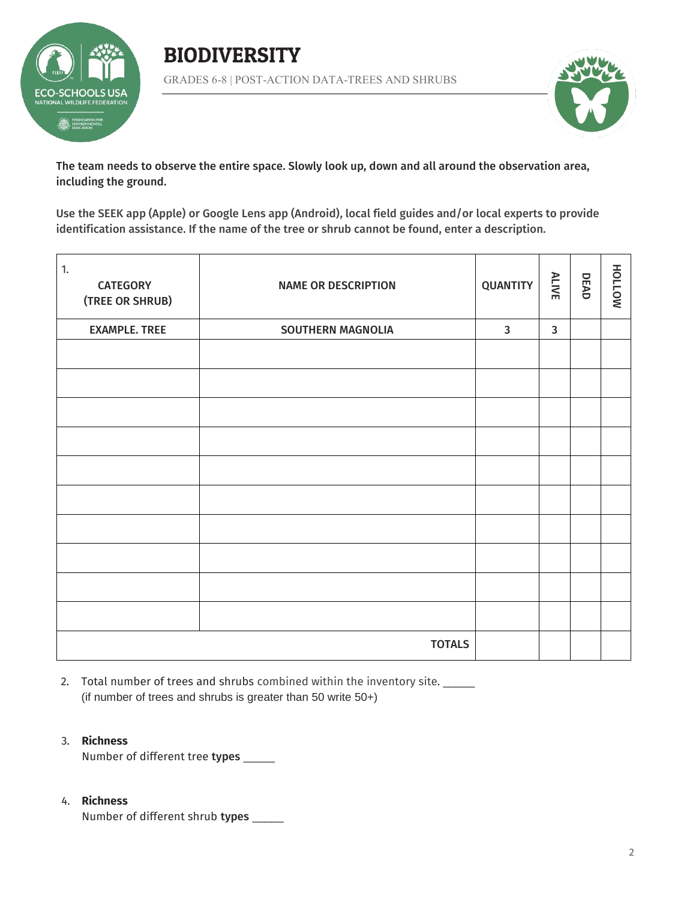





The team needs to observe the entire space. Slowly look up, down and all around the observation area, including the ground.

Use the SEEK app (Apple) or Google Lens app (Android), local field guides and/or local experts to provide identification assistance. If the name of the tree or shrub cannot be found, enter a description.

| 1.<br><b>CATEGORY</b><br>(TREE OR SHRUB) | <b>NAME OR DESCRIPTION</b> | <b>QUANTITY</b> | <b>ALIVE</b> | DEAD | NOTTOH |
|------------------------------------------|----------------------------|-----------------|--------------|------|--------|
| <b>EXAMPLE. TREE</b>                     | <b>SOUTHERN MAGNOLIA</b>   | $\mathbf{3}$    | $\mathbf{3}$ |      |        |
|                                          |                            |                 |              |      |        |
|                                          |                            |                 |              |      |        |
|                                          |                            |                 |              |      |        |
|                                          |                            |                 |              |      |        |
|                                          |                            |                 |              |      |        |
|                                          |                            |                 |              |      |        |
|                                          |                            |                 |              |      |        |
|                                          |                            |                 |              |      |        |
|                                          |                            |                 |              |      |        |
|                                          |                            |                 |              |      |        |
|                                          | <b>TOTALS</b>              |                 |              |      |        |

2. Total number of trees and shrubs combined within the inventory site. (if number of trees and shrubs is greater than 50 write 50+)

### 3. **Richness**

Number of different tree types \_\_\_\_\_

### 4. **Richness**

Number of different shrub types \_\_\_\_\_